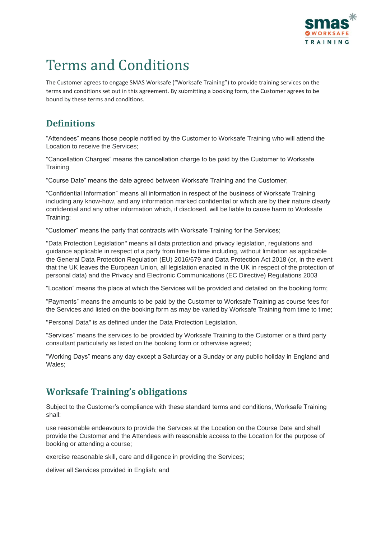

# Terms and Conditions

The Customer agrees to engage SMAS Worksafe ("Worksafe Training") to provide training services on the terms and conditions set out in this agreement. By submitting a booking form, the Customer agrees to be bound by these terms and conditions.

# **Definitions**

"Attendees" means those people notified by the Customer to Worksafe Training who will attend the Location to receive the Services;

"Cancellation Charges" means the cancellation charge to be paid by the Customer to Worksafe **Training** 

"Course Date" means the date agreed between Worksafe Training and the Customer;

"Confidential Information" means all information in respect of the business of Worksafe Training including any know-how, and any information marked confidential or which are by their nature clearly confidential and any other information which, if disclosed, will be liable to cause harm to Worksafe Training;

"Customer" means the party that contracts with Worksafe Training for the Services;

"Data Protection Legislation" means all data protection and privacy legislation, regulations and guidance applicable in respect of a party from time to time including, without limitation as applicable the General Data Protection Regulation (EU) 2016/679 and Data Protection Act 2018 (or, in the event that the UK leaves the European Union, all legislation enacted in the UK in respect of the protection of personal data) and the Privacy and Electronic Communications (EC Directive) Regulations 2003

"Location" means the place at which the Services will be provided and detailed on the booking form;

"Payments" means the amounts to be paid by the Customer to Worksafe Training as course fees for the Services and listed on the booking form as may be varied by Worksafe Training from time to time;

"Personal Data" is as defined under the Data Protection Legislation.

"Services" means the services to be provided by Worksafe Training to the Customer or a third party consultant particularly as listed on the booking form or otherwise agreed;

"Working Days" means any day except a Saturday or a Sunday or any public holiday in England and Wales;

# **Worksafe Training's obligations**

Subject to the Customer's compliance with these standard terms and conditions, Worksafe Training shall:

use reasonable endeavours to provide the Services at the Location on the Course Date and shall provide the Customer and the Attendees with reasonable access to the Location for the purpose of booking or attending a course;

exercise reasonable skill, care and diligence in providing the Services;

deliver all Services provided in English; and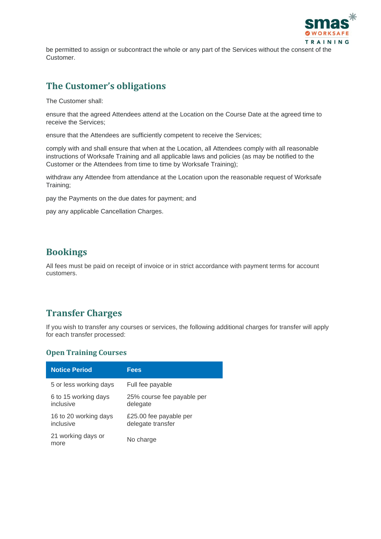

be permitted to assign or subcontract the whole or any part of the Services without the consent of the Customer.

# **The Customer's obligations**

The Customer shall:

ensure that the agreed Attendees attend at the Location on the Course Date at the agreed time to receive the Services;

ensure that the Attendees are sufficiently competent to receive the Services;

comply with and shall ensure that when at the Location, all Attendees comply with all reasonable instructions of Worksafe Training and all applicable laws and policies (as may be notified to the Customer or the Attendees from time to time by Worksafe Training);

withdraw any Attendee from attendance at the Location upon the reasonable request of Worksafe Training;

pay the Payments on the due dates for payment; and

pay any applicable Cancellation Charges.

#### **Bookings**

All fees must be paid on receipt of invoice or in strict accordance with payment terms for account customers.

# **Transfer Charges**

If you wish to transfer any courses or services, the following additional charges for transfer will apply for each transfer processed:

#### **Open Training Courses**

| <b>Notice Period</b>               | <b>Fees</b>                                 |
|------------------------------------|---------------------------------------------|
| 5 or less working days             | Full fee payable                            |
| 6 to 15 working days<br>inclusive  | 25% course fee payable per<br>delegate      |
| 16 to 20 working days<br>inclusive | £25.00 fee payable per<br>delegate transfer |
| 21 working days or<br>more         | No charge                                   |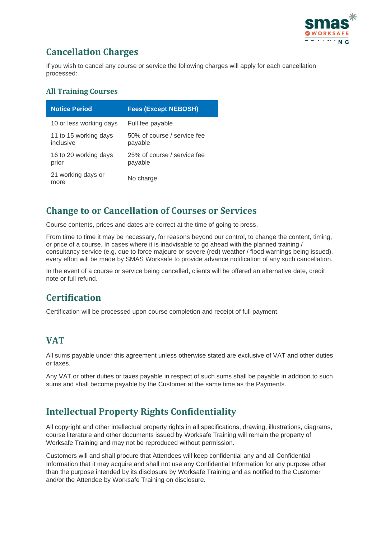

# **Cancellation Charges**

If you wish to cancel any course or service the following charges will apply for each cancellation processed:

#### **All Training Courses**

| <b>Notice Period</b>               | <b>Fees (Except NEBOSH)</b>            |
|------------------------------------|----------------------------------------|
| 10 or less working days            | Full fee payable                       |
| 11 to 15 working days<br>inclusive | 50% of course / service fee<br>payable |
| 16 to 20 working days<br>prior     | 25% of course / service fee<br>payable |
| 21 working days or<br>more         | No charge                              |

# **Change to or Cancellation of Courses or Services**

Course contents, prices and dates are correct at the time of going to press.

From time to time it may be necessary, for reasons beyond our control, to change the content, timing, or price of a course. In cases where it is inadvisable to go ahead with the planned training / consultancy service (e.g. due to force majeure or severe (red) weather / flood warnings being issued), every effort will be made by SMAS Worksafe to provide advance notification of any such cancellation.

In the event of a course or service being cancelled, clients will be offered an alternative date, credit note or full refund.

# **Certification**

Certification will be processed upon course completion and receipt of full payment.

# **VAT**

All sums payable under this agreement unless otherwise stated are exclusive of VAT and other duties or taxes.

Any VAT or other duties or taxes payable in respect of such sums shall be payable in addition to such sums and shall become payable by the Customer at the same time as the Payments.

# **Intellectual Property Rights Confidentiality**

All copyright and other intellectual property rights in all specifications, drawing, illustrations, diagrams, course literature and other documents issued by Worksafe Training will remain the property of Worksafe Training and may not be reproduced without permission.

Customers will and shall procure that Attendees will keep confidential any and all Confidential Information that it may acquire and shall not use any Confidential Information for any purpose other than the purpose intended by its disclosure by Worksafe Training and as notified to the Customer and/or the Attendee by Worksafe Training on disclosure.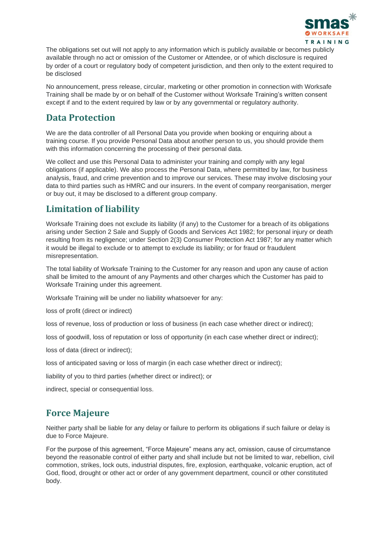

The obligations set out will not apply to any information which is publicly available or becomes publicly available through no act or omission of the Customer or Attendee, or of which disclosure is required by order of a court or regulatory body of competent jurisdiction, and then only to the extent required to be disclosed

No announcement, press release, circular, marketing or other promotion in connection with Worksafe Training shall be made by or on behalf of the Customer without Worksafe Training's written consent except if and to the extent required by law or by any governmental or regulatory authority.

#### **Data Protection**

We are the data controller of all Personal Data you provide when booking or enquiring about a training course. If you provide Personal Data about another person to us, you should provide them with this information concerning the processing of their personal data.

We collect and use this Personal Data to administer your training and comply with any legal obligations (if applicable). We also process the Personal Data, where permitted by law, for business analysis, fraud, and crime prevention and to improve our services. These may involve disclosing your data to third parties such as HMRC and our insurers. In the event of company reorganisation, merger or buy out, it may be disclosed to a different group company.

# **Limitation of liability**

Worksafe Training does not exclude its liability (if any) to the Customer for a breach of its obligations arising under Section 2 Sale and Supply of Goods and Services Act 1982; for personal injury or death resulting from its negligence; under Section 2(3) Consumer Protection Act 1987; for any matter which it would be illegal to exclude or to attempt to exclude its liability; or for fraud or fraudulent misrepresentation.

The total liability of Worksafe Training to the Customer for any reason and upon any cause of action shall be limited to the amount of any Payments and other charges which the Customer has paid to Worksafe Training under this agreement.

Worksafe Training will be under no liability whatsoever for any:

loss of profit (direct or indirect)

loss of revenue, loss of production or loss of business (in each case whether direct or indirect);

loss of goodwill, loss of reputation or loss of opportunity (in each case whether direct or indirect);

loss of data (direct or indirect);

loss of anticipated saving or loss of margin (in each case whether direct or indirect);

liability of you to third parties (whether direct or indirect); or

indirect, special or consequential loss.

#### **Force Majeure**

Neither party shall be liable for any delay or failure to perform its obligations if such failure or delay is due to Force Majeure.

For the purpose of this agreement, "Force Majeure" means any act, omission, cause of circumstance beyond the reasonable control of either party and shall include but not be limited to war, rebellion, civil commotion, strikes, lock outs, industrial disputes, fire, explosion, earthquake, volcanic eruption, act of God, flood, drought or other act or order of any government department, council or other constituted body.